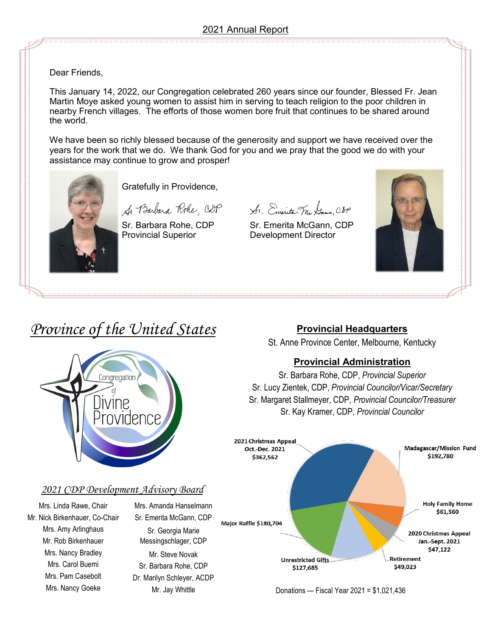Dear Friends,

This January 14, 2022, our Congregation celebrated 260 years since our founder, Blessed Fr. Jean Martin Moye asked young women to assist him in serving to teach religion to the poor children in nearby French villages. The efforts of those women bore fruit that continues to be shared around the world.

We have been so richly blessed because of the generosity and support we have received over the years for the work that we do. We thank God for you and we pray that the good we do with your assistance may continue to grow and prosper!



Gratefully in Providence,

Mr. Jay Whittle

Provincial Superior **Development Director** 

A. Barbara Rohe, CDP St. Emerita Mr Gaun, CDP

Sr. Barbara Rohe, CDP Sr. Emerita McGann, CDP



# *Province of the United States*

Congregation

/INP.NCP

### **Provincial Headquarters**

St. Anne Province Center, Melbourne, Kentucky

## **Provincial Administration**

Sr. Barbara Rohe, CDP, *Provincial Superior* Sr. Lucy Zientek, CDP, *Provincial Councilor/Vicar/Secretary* Sr. Margaret Stallmeyer, CDP, *Provincial Councilor/Treasurer* Sr. Kay Kramer, CDP, *Provincial Councilor*



Donations — Fiscal Year 2021 = \$1,021,436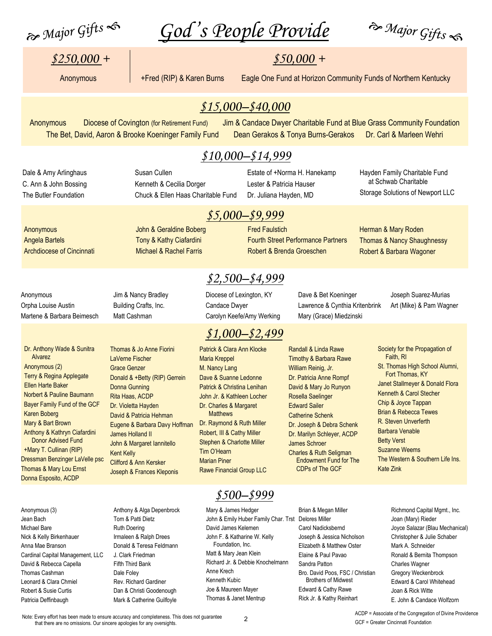$\partial f$  Major Gifts  $\hat{f}$   $\hat{f}$   $\hat{g}$   $\hat{g}$   $\hat{g}$   $\hat{g}$   $\hat{g}$   $\hat{g}$   $\hat{g}$   $\hat{g}$   $\hat{g}$   $\hat{g}$   $\hat{g}$   $\hat{g}$   $\hat{g}$   $\hat{g}$   $\hat{g}$   $\hat{g}$   $\hat{g}$   $\hat{g}$   $\hat{g}$   $\hat{g}$   $\hat{g}$   $\hat{g}$   $\hat{g}$   $\hat{$ 

## $$250,000 +$   $$50,000 +$

Anonymous +Fred (RIP) & Karen Burns Eagle One Fund at Horizon Community Funds of Northern Kentucky

## *\$15,000–\$40,000*

Anonymous Diocese of Covington (for Retirement Fund) Jim & Candace Dwyer Charitable Fund at Blue Grass Community Foundation The Bet, David, Aaron & Brooke Koeninger Family Fund Dean Gerakos & Tonya Burns-Gerakos Dr. Carl & Marleen Wehri

### *\$10,000–\$14,999*

Dale & Amy Arlinghaus C. Ann & John Bossing The Butler Foundation

Anonymous Angela Bartels Susan Cullen Kenneth & Cecilia Dorger Chuck & Ellen Haas Charitable Fund

John & Geraldine Boberg Tony & Kathy Ciafardini Michael & Rachel Farris

Estate of +Norma H. Hanekamp Lester & Patricia Hauser Dr. Juliana Hayden, MD

Hayden Family Charitable Fund at Schwab Charitable Storage Solutions of Newport LLC

# *\$5,000–\$9,999*

Fred Faulstich Fourth Street Performance Partners Robert & Brenda Groeschen

Herman & Mary Roden Thomas & Nancy Shaughnessy Robert & Barbara Wagoner

Anonymous Orpha Louise Austin Martene & Barbara Beimesch

Archdiocese of Cincinnati

Dr. Anthony Wade & Sunitra

Terry & Regina Applegate Ellen Harte Baker Norbert & Pauline Baumann Bayer Family Fund of the GCF

 Alvarez Anonymous (2)

Karen Boberg Mary & Bart Brown Anthony & Kathryn Ciafardini Donor Advised Fund +Mary T. Cullinan (RIP) Dressman Benzinger LaVelle psc Thomas & Mary Lou Ernst Donna Esposito, ACDP

Jim & Nancy Bradley Building Crafts, Inc. Matt Cashman

Thomas & Jo Anne Fiorini LaVerne Fischer Grace Genzer

Donald & +Betty (RIP) Gerrein

Donna Gunning Rita Haas, ACDP Dr. Violetta Hayden David & Patricia Hehman

James Holland II John & Margaret Iannitello

Clifford & Ann Kersker Joseph & Frances Kleponis

Kent Kelly

Diocese of Lexington, KY Candace Dwyer Carolyn Keefe/Amy Werking

*\$2,500–\$4,999* 

## *\$1,000–\$2,499*

Eugene & Barbara Davy Hoffman Patrick & Clara Ann Klocke Maria Kreppel M. Nancy Lang Dave & Suanne Ledonne Patrick & Christina Lenihan John Jr. & Kathleen Locher Dr. Charles & Margaret **Matthews** Dr. Raymond & Ruth Miller Robert, III & Cathy Miller Stephen & Charlotte Miller Tim O'Hearn Marian Piner Rawe Financial Group LLC Dave & Bet Koeninger Lawrence & Cynthia Kritenbrink Mary (Grace) Miedzinski

Randall & Linda Rawe Timothy & Barbara Rawe William Reinig, Jr. Dr. Patricia Anne Rompf David & Mary Jo Runyon

Joseph Suarez-Murias Art (Mike) & Pam Wagner

Society for the Propagation of Faith, RI St. Thomas High School Alumni, Fort Thomas, KY Janet Stallmeyer & Donald Flora Kenneth & Carol Stecher Chip & Joyce Tappan Brian & Rebecca Tewes R. Steven Unverferth Barbara Venable Betty Verst Suzanne Weems The Western & Southern Life Ins. Kate Zink

Anonymous (3) Jean Bach Michael Bare Nick & Kelly Birkenhauer Anna Mae Branson Cardinal Capital Management, LLC David & Rebecca Capella Thomas Cashman Leonard & Clara Chmiel Robert & Susie Curtis Patricia Deffinbaugh

Anthony & Alga Depenbrock Tom & Patti Dietz Ruth Doering Irmaleen & Ralph Drees Donald & Teresa Feldmann J. Clark Friedman Fifth Third Bank Dale Foley Rev. Richard Gardiner Dan & Christi Goodenough Mark & Catherine Guilfoyle

# *\$500–\$999*

Mary & James Hedger John & Emily Huber Family Char. Trst Delores Miller David James Kelemen John F. & Katharine W. Kelly Foundation, Inc. Matt & Mary Jean Klein Richard Jr. & Debbie Knochelmann Anne Krech Kenneth Kubic Joe & Maureen Mayer Thomas & Janet Mentrup

Brian & Megan Miller Carol Nadicksbernd Joseph & Jessica Nicholson Elizabeth & Matthew Oster Elaine & Paul Pavao Sandra Patton Bro. David Poos, FSC / Christian Brothers of Midwest Edward & Cathy Rawe Rick Jr. & Kathy Reinhart

Richmond Capital Mgmt., Inc. Joan (Mary) Rieder Joyce Salazar (Blau Mechanical) Christopher & Julie Schaber Mark A. Schneider Ronald & Bernita Thompson Charles Wagner Gregory Weckenbrock Edward & Carol Whitehead Joan & Rick Witte E. John & Candace Wolfzorn

Note: Every effort has been made to ensure accuracy and completeness. This does not guarantee that there are no omissions. Our sincere apologies for any oversights.

2

ACDP = Associate of the Congregation of Divine Providence GCF = Greater Cincinnati Foundation

Rosella Saelinger Edward Sailer Catherine Schenk Dr. Joseph & Debra Schenk Dr. Marilyn Schleyer, ACDP James Schroer Charles & Ruth Seligman Endowment Fund for The CDPs of The GCF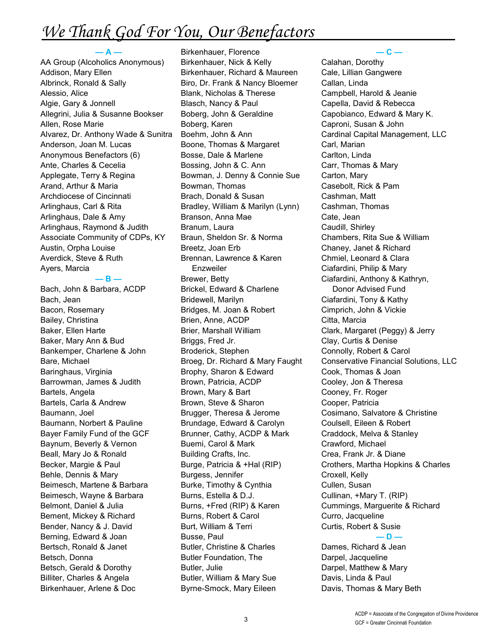# We Thank God For You, Our Benefactors

#### AA Group (Alcoholics Anonymous) Addison, Mary Ellen Albrinck, Ronald & Sally Alessio, Alice Algie, Gary & Jonnell Allegrini, Julia & Susanne Bookser Allen, Rose Marie Alvarez, Dr. Anthony Wade & Sunitra Anderson, Joan M. Lucas Anonymous Benefactors (6) Ante, Charles & Cecelia Applegate, Terry & Regina Arand, Arthur & Maria Archdiocese of Cincinnati Arlinghaus, Carl & Rita Arlinghaus, Dale & Amy Arlinghaus, Raymond & Judith Associate Community of CDPs, KY Austin, Orpha Louise Averdick, Steve & Ruth Ayers, Marcia

**— A —**

#### **— B —**

Bach, John & Barbara, ACDP Bach, Jean Bacon, Rosemary Bailey, Christina Baker, Ellen Harte Baker, Mary Ann & Bud Bankemper, Charlene & John Bare, Michael Baringhaus, Virginia Barrowman, James & Judith Bartels, Angela Bartels, Carla & Andrew Baumann, Joel Baumann, Norbert & Pauline Bayer Family Fund of the GCF Baynum, Beverly & Vernon Beall, Mary Jo & Ronald Becker, Margie & Paul Behle, Dennis & Mary Beimesch, Martene & Barbara Beimesch, Wayne & Barbara Belmont, Daniel & Julia Bement, Mickey & Richard Bender, Nancy & J. David Berning, Edward & Joan Bertsch, Ronald & Janet Betsch, Donna Betsch, Gerald & Dorothy Billiter, Charles & Angela Birkenhauer, Arlene & Doc

Birkenhauer, Florence Birkenhauer, Nick & Kelly Birkenhauer, Richard & Maureen Biro, Dr. Frank & Nancy Bloemer Blank, Nicholas & Therese Blasch, Nancy & Paul Boberg, John & Geraldine Boberg, Karen Boehm, John & Ann Boone, Thomas & Margaret Bosse, Dale & Marlene Bossing, John & C. Ann Bowman, J. Denny & Connie Sue Bowman, Thomas Brach, Donald & Susan Bradley, William & Marilyn (Lynn) Branson, Anna Mae Branum, Laura Braun, Sheldon Sr. & Norma Breetz, Joan Erb Brennan, Lawrence & Karen Enzweiler Brewer, Betty Brickel, Edward & Charlene Bridewell, Marilyn Bridges, M. Joan & Robert Brien, Anne, ACDP Brier, Marshall William Briggs, Fred Jr. Broderick, Stephen Broeg, Dr. Richard & Mary Faught Brophy, Sharon & Edward Brown, Patricia, ACDP Brown, Mary & Bart Brown, Steve & Sharon Brugger, Theresa & Jerome Brundage, Edward & Carolyn Brunner, Cathy, ACDP & Mark Buemi, Carol & Mark Building Crafts, Inc. Burge, Patricia & +Hal (RIP) Burgess, Jennifer Burke, Timothy & Cynthia Burns, Estella & D.J. Burns, +Fred (RIP) & Karen Burns, Robert & Carol Burt, William & Terri Busse, Paul Butler, Christine & Charles Butler Foundation, The Butler, Julie Butler, William & Mary Sue Byrne-Smock, Mary Eileen

**— C —**

Calahan, Dorothy Cale, Lillian Gangwere Callan, Linda Campbell, Harold & Jeanie Capella, David & Rebecca Capobianco, Edward & Mary K. Caproni, Susan & John Cardinal Capital Management, LLC Carl, Marian Carlton, Linda Carr, Thomas & Mary Carton, Mary Casebolt, Rick & Pam Cashman, Matt Cashman, Thomas Cate, Jean Caudill, Shirley Chambers, Rita Sue & William Chaney, Janet & Richard Chmiel, Leonard & Clara Ciafardini, Philip & Mary Ciafardini, Anthony & Kathryn, Donor Advised Fund Ciafardini, Tony & Kathy Cimprich, John & Vickie Citta, Marcia Clark, Margaret (Peggy) & Jerry Clay, Curtis & Denise Connolly, Robert & Carol Conservative Financial Solutions, LLC Cook, Thomas & Joan Cooley, Jon & Theresa Cooney, Fr. Roger Cooper, Patricia Cosimano, Salvatore & Christine Coulsell, Eileen & Robert Craddock, Melva & Stanley Crawford, Michael Crea, Frank Jr. & Diane Crothers, Martha Hopkins & Charles Croxell, Kelly Cullen, Susan Cullinan, +Mary T. (RIP) Cummings, Marguerite & Richard Curro, Jacqueline Curtis, Robert & Susie **— D —** Dames, Richard & Jean Darpel, Jacqueline Darpel, Matthew & Mary Davis, Linda & Paul Davis, Thomas & Mary Beth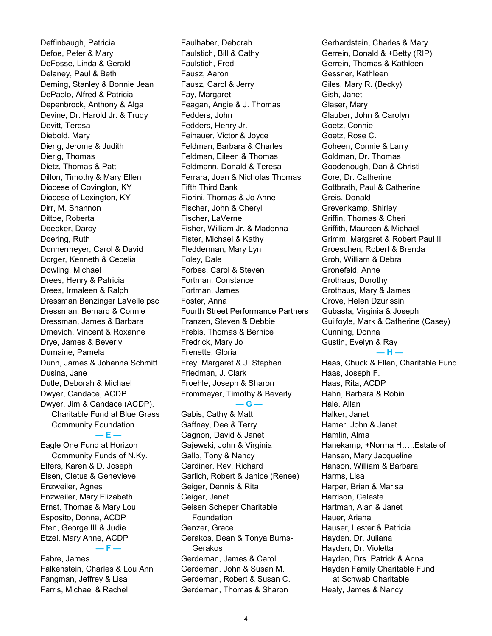Deffinbaugh, Patricia Defoe, Peter & Mary DeFosse, Linda & Gerald Delaney, Paul & Beth Deming, Stanley & Bonnie Jean DePaolo, Alfred & Patricia Depenbrock, Anthony & Alga Devine, Dr. Harold Jr. & Trudy Devitt, Teresa Diebold, Mary Dierig, Jerome & Judith Dierig, Thomas Dietz, Thomas & Patti Dillon, Timothy & Mary Ellen Diocese of Covington, KY Diocese of Lexington, KY Dirr, M. Shannon Dittoe, Roberta Doepker, Darcy Doering, Ruth Donnermeyer, Carol & David Dorger, Kenneth & Cecelia Dowling, Michael Drees, Henry & Patricia Drees, Irmaleen & Ralph Dressman Benzinger LaVelle psc Dressman, Bernard & Connie Dressman, James & Barbara Drnevich, Vincent & Roxanne Drye, James & Beverly Dumaine, Pamela Dunn, James & Johanna Schmitt Dusina, Jane Dutle, Deborah & Michael Dwyer, Candace, ACDP Dwyer, Jim & Candace (ACDP), Charitable Fund at Blue Grass Community Foundation **— E —**

Eagle One Fund at Horizon Community Funds of N.Ky. Elfers, Karen & D. Joseph Elsen, Cletus & Genevieve Enzweiler, Agnes Enzweiler, Mary Elizabeth Ernst, Thomas & Mary Lou Esposito, Donna, ACDP Eten, George III & Judie Etzel, Mary Anne, ACDP **— F —**

Fabre, James Falkenstein, Charles & Lou Ann Fangman, Jeffrey & Lisa Farris, Michael & Rachel

Faulhaber, Deborah Faulstich, Bill & Cathy Faulstich, Fred Fausz, Aaron Fausz, Carol & Jerry Fay, Margaret Feagan, Angie & J. Thomas Fedders, John Fedders, Henry Jr. Feinauer, Victor & Joyce Feldman, Barbara & Charles Feldman, Eileen & Thomas Feldmann, Donald & Teresa Ferrara, Joan & Nicholas Thomas Fifth Third Bank Fiorini, Thomas & Jo Anne Fischer, John & Cheryl Fischer, LaVerne Fisher, William Jr. & Madonna Fister, Michael & Kathy Fledderman, Mary Lyn Foley, Dale Forbes, Carol & Steven Fortman, Constance Fortman, James Foster, Anna Fourth Street Performance Partners Franzen, Steven & Debbie Frebis, Thomas & Bernice Fredrick, Mary Jo Frenette, Gloria Frey, Margaret & J. Stephen Friedman, J. Clark Froehle, Joseph & Sharon Frommeyer, Timothy & Beverly

#### **— G —**

Gabis, Cathy & Matt Gaffney, Dee & Terry Gagnon, David & Janet Gajewski, John & Virginia Gallo, Tony & Nancy Gardiner, Rev. Richard Garlich, Robert & Janice (Renee) Geiger, Dennis & Rita Geiger, Janet Geisen Scheper Charitable **Foundation** Genzer, Grace Gerakos, Dean & Tonya Burns- Gerakos Gerdeman, James & Carol Gerdeman, John & Susan M. Gerdeman, Robert & Susan C. Gerdeman, Thomas & Sharon

Gerhardstein, Charles & Mary Gerrein, Donald & +Betty (RIP) Gerrein, Thomas & Kathleen Gessner, Kathleen Giles, Mary R. (Becky) Gish, Janet Glaser, Mary Glauber, John & Carolyn Goetz, Connie Goetz, Rose C. Goheen, Connie & Larry Goldman, Dr. Thomas Goodenough, Dan & Christi Gore, Dr. Catherine Gottbrath, Paul & Catherine Greis, Donald Grevenkamp, Shirley Griffin, Thomas & Cheri Griffith, Maureen & Michael Grimm, Margaret & Robert Paul II Groeschen, Robert & Brenda Groh, William & Debra Gronefeld, Anne Grothaus, Dorothy Grothaus, Mary & James Grove, Helen Dzurissin Gubasta, Virginia & Joseph Guilfoyle, Mark & Catherine (Casey) Gunning, Donna Gustin, Evelyn & Ray **— H —** Haas, Chuck & Ellen, Charitable Fund Haas, Joseph F. Haas, Rita, ACDP Hahn, Barbara & Robin Hale, Allan Halker, Janet Hamer, John & Janet Hamlin, Alma Hanekamp, +Norma H…..Estate of Hansen, Mary Jacqueline Hanson, William & Barbara Harms, Lisa Harper, Brian & Marisa Harrison, Celeste Hartman, Alan & Janet Hauer, Ariana Hauser, Lester & Patricia

Hayden, Dr. Juliana

- Hayden, Dr. Violetta Hayden, Drs. Patrick & Anna
- Hayden Family Charitable Fund at Schwab Charitable Healy, James & Nancy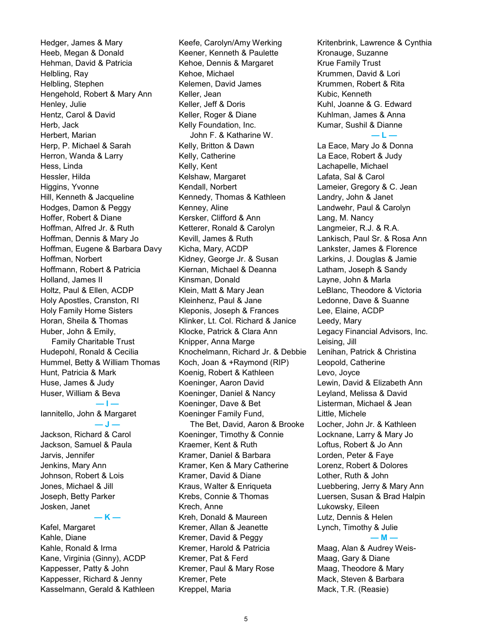Hedger, James & Mary Heeb, Megan & Donald Hehman, David & Patricia Helbling, Ray Helbling, Stephen Hengehold, Robert & Mary Ann Henley, Julie Hentz, Carol & David Herb, Jack Herbert, Marian Herp, P. Michael & Sarah Herron, Wanda & Larry Hess, Linda Hessler, Hilda Higgins, Yvonne Hill, Kenneth & Jacqueline Hodges, Damon & Peggy Hoffer, Robert & Diane Hoffman, Alfred Jr. & Ruth Hoffman, Dennis & Mary Jo Hoffman, Eugene & Barbara Davy Hoffman, Norbert Hoffmann, Robert & Patricia Holland, James II Holtz, Paul & Ellen, ACDP Holy Apostles, Cranston, RI Holy Family Home Sisters Horan, Sheila & Thomas Huber, John & Emily, Family Charitable Trust Hudepohl, Ronald & Cecilia Hummel, Betty & William Thomas Hunt, Patricia & Mark Huse, James & Judy Huser, William & Beva **— I —** Iannitello, John & Margaret **— J —** Jackson, Richard & Carol Jackson, Samuel & Paula Jarvis, Jennifer Jenkins, Mary Ann Johnson, Robert & Lois Jones, Michael & Jill Joseph, Betty Parker Josken, Janet **— K —** Kafel, Margaret Kahle, Diane Kahle, Ronald & Irma Kane, Virginia (Ginny), ACDP Kappesser, Patty & John

Kappesser, Richard & Jenny Kasselmann, Gerald & Kathleen Keefe, Carolyn/Amy Werking Keener, Kenneth & Paulette Kehoe, Dennis & Margaret Kehoe, Michael Kelemen, David James Keller, Jean Keller, Jeff & Doris Keller, Roger & Diane Kelly Foundation, Inc. John F. & Katharine W. Kelly, Britton & Dawn Kelly, Catherine Kelly, Kent Kelshaw, Margaret Kendall, Norbert Kennedy, Thomas & Kathleen Kenney, Aline Kersker, Clifford & Ann Ketterer, Ronald & Carolyn Kevill, James & Ruth Kicha, Mary, ACDP Kidney, George Jr. & Susan Kiernan, Michael & Deanna Kinsman, Donald Klein, Matt & Mary Jean Kleinhenz, Paul & Jane Kleponis, Joseph & Frances Klinker, Lt. Col. Richard & Janice Klocke, Patrick & Clara Ann Knipper, Anna Marge Knochelmann, Richard Jr. & Debbie Koch, Joan & +Raymond (RIP) Koenig, Robert & Kathleen Koeninger, Aaron David Koeninger, Daniel & Nancy Koeninger, Dave & Bet Koeninger Family Fund, The Bet, David, Aaron & Brooke Koeninger, Timothy & Connie Kraemer, Kent & Ruth Kramer, Daniel & Barbara Kramer, Ken & Mary Catherine Kramer, David & Diane Kraus, Walter & Enriqueta Krebs, Connie & Thomas Krech, Anne Kreh, Donald & Maureen Kremer, Allan & Jeanette Kremer, David & Peggy Kremer, Harold & Patricia Kremer, Pat & Ferd Kremer, Paul & Mary Rose Kremer, Pete Kreppel, Maria

Kritenbrink, Lawrence & Cynthia Kronauge, Suzanne Krue Family Trust Krummen, David & Lori Krummen, Robert & Rita Kubic, Kenneth Kuhl, Joanne & G. Edward Kuhlman, James & Anna Kumar, Sushil & Dianne **— L —** La Eace, Mary Jo & Donna La Eace, Robert & Judy Lachapelle, Michael Lafata, Sal & Carol Lameier, Gregory & C. Jean Landry, John & Janet Landwehr, Paul & Carolyn Lang, M. Nancy Langmeier, R.J. & R.A. Lankisch, Paul Sr. & Rosa Ann Lankster, James & Florence Larkins, J. Douglas & Jamie Latham, Joseph & Sandy Layne, John & Marla LeBlanc, Theodore & Victoria Ledonne, Dave & Suanne Lee, Elaine, ACDP Leedy, Mary Legacy Financial Advisors, Inc. Leising, Jill Lenihan, Patrick & Christina Leopold, Catherine Levo, Joyce Lewin, David & Elizabeth Ann Leyland, Melissa & David Listerman, Michael & Jean Little, Michele Locher, John Jr. & Kathleen Locknane, Larry & Mary Jo Loftus, Robert & Jo Ann Lorden, Peter & Faye Lorenz, Robert & Dolores Lother, Ruth & John Luebbering, Jerry & Mary Ann Luersen, Susan & Brad Halpin Lukowsky, Eileen Lutz, Dennis & Helen Lynch, Timothy & Julie **— M —** Maag, Alan & Audrey Weis-Maag, Gary & Diane Maag, Theodore & Mary Mack, Steven & Barbara

Mack, T.R. (Reasie)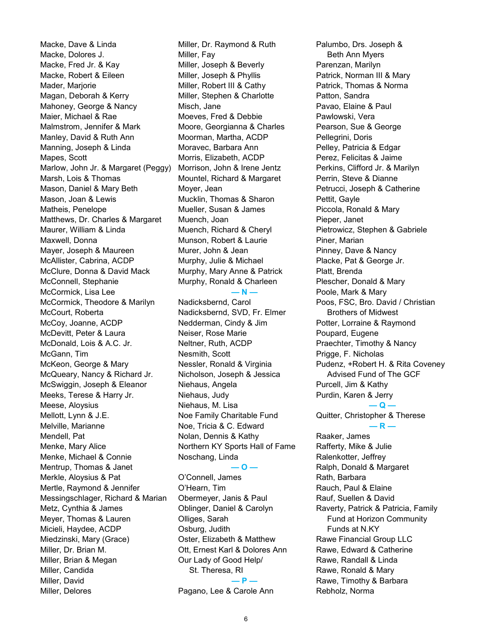Macke, Dave & Linda Macke, Dolores J. Macke, Fred Jr. & Kay Macke, Robert & Eileen Mader, Marjorie Magan, Deborah & Kerry Mahoney, George & Nancy Maier, Michael & Rae Malmstrom, Jennifer & Mark Manley, David & Ruth Ann Manning, Joseph & Linda Mapes, Scott Marlow, John Jr. & Margaret (Peggy) Marsh, Lois & Thomas Mason, Daniel & Mary Beth Mason, Joan & Lewis Matheis, Penelope Matthews, Dr. Charles & Margaret Maurer, William & Linda Maxwell, Donna Mayer, Joseph & Maureen McAllister, Cabrina, ACDP McClure, Donna & David Mack McConnell, Stephanie McCormick, Lisa Lee McCormick, Theodore & Marilyn McCourt, Roberta McCoy, Joanne, ACDP McDevitt, Peter & Laura McDonald, Lois & A.C. Jr. McGann, Tim McKeon, George & Mary McQueary, Nancy & Richard Jr. McSwiggin, Joseph & Eleanor Meeks, Terese & Harry Jr. Meese, Aloysius Mellott, Lynn & J.E. Melville, Marianne Mendell, Pat Menke, Mary Alice Menke, Michael & Connie Mentrup, Thomas & Janet Merkle, Aloysius & Pat Mertle, Raymond & Jennifer Messingschlager, Richard & Marian Metz, Cynthia & James Meyer, Thomas & Lauren Micieli, Haydee, ACDP Miedzinski, Mary (Grace) Miller, Dr. Brian M. Miller, Brian & Megan Miller, Candida Miller, David Miller, Delores

Miller, Dr. Raymond & Ruth Miller, Fay Miller, Joseph & Beverly Miller, Joseph & Phyllis Miller, Robert III & Cathy Miller, Stephen & Charlotte Misch, Jane Moeves, Fred & Debbie Moore, Georgianna & Charles Moorman, Martha, ACDP Moravec, Barbara Ann Morris, Elizabeth, ACDP Morrison, John & Irene Jentz Mountel, Richard & Margaret Moyer, Jean Mucklin, Thomas & Sharon Mueller, Susan & James Muench, Joan Muench, Richard & Cheryl Munson, Robert & Laurie Murer, John & Jean Murphy, Julie & Michael Murphy, Mary Anne & Patrick Murphy, Ronald & Charleen **— N —**

Nadicksbernd, Carol Nadicksbernd, SVD, Fr. Elmer Nedderman, Cindy & Jim Neiser, Rose Marie Neltner, Ruth, ACDP Nesmith, Scott Nessler, Ronald & Virginia Nicholson, Joseph & Jessica Niehaus, Angela Niehaus, Judy Niehaus, M. Lisa Noe Family Charitable Fund Noe, Tricia & C. Edward Nolan, Dennis & Kathy Northern KY Sports Hall of Fame Noschang, Linda

O'Connell, James O'Hearn, Tim Obermeyer, Janis & Paul Oblinger, Daniel & Carolyn Olliges, Sarah Osburg, Judith Oster, Elizabeth & Matthew Ott, Ernest Karl & Dolores Ann Our Lady of Good Help/ St. Theresa, RI **— P —** Pagano, Lee & Carole Ann

**— O —**

Palumbo, Drs. Joseph & Beth Ann Myers Parenzan, Marilyn Patrick, Norman III & Mary Patrick, Thomas & Norma Patton, Sandra Pavao, Elaine & Paul Pawlowski, Vera Pearson, Sue & George Pellegrini, Doris Pelley, Patricia & Edgar Perez, Felicitas & Jaime Perkins, Clifford Jr. & Marilyn Perrin, Steve & Dianne Petrucci, Joseph & Catherine Pettit, Gayle Piccola, Ronald & Mary Pieper, Janet Pietrowicz, Stephen & Gabriele Piner, Marian Pinney, Dave & Nancy Placke, Pat & George Jr. Platt, Brenda Plescher, Donald & Mary Poole, Mark & Mary Poos, FSC, Bro. David / Christian Brothers of Midwest Potter, Lorraine & Raymond Poupard, Eugene Praechter, Timothy & Nancy Prigge, F. Nicholas Pudenz, +Robert H. & Rita Coveney Advised Fund of The GCF Purcell, Jim & Kathy Purdin, Karen & Jerry **— Q —** Quitter, Christopher & Therese **— R —** Raaker, James Rafferty, Mike & Julie Ralenkotter, Jeffrey Ralph, Donald & Margaret Rath, Barbara Rauch, Paul & Elaine Rauf, Suellen & David Raverty, Patrick & Patricia, Family Fund at Horizon Community Funds at N.KY Rawe Financial Group LLC Rawe, Edward & Catherine Rawe, Randall & Linda Rawe, Ronald & Mary Rawe, Timothy & Barbara

Rebholz, Norma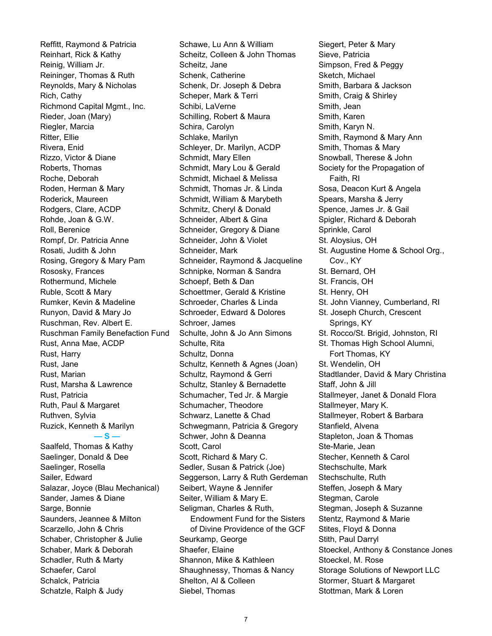Reffitt, Raymond & Patricia Reinhart, Rick & Kathy Reinig, William Jr. Reininger, Thomas & Ruth Reynolds, Mary & Nicholas Rich, Cathy Richmond Capital Mgmt., Inc. Rieder, Joan (Mary) Riegler, Marcia Ritter, Ellie Rivera, Enid Rizzo, Victor & Diane Roberts, Thomas Roche, Deborah Roden, Herman & Mary Roderick, Maureen Rodgers, Clare, ACDP Rohde, Joan & G.W. Roll, Berenice Rompf, Dr. Patricia Anne Rosati, Judith & John Rosing, Gregory & Mary Pam Rososky, Frances Rothermund, Michele Ruble, Scott & Mary Rumker, Kevin & Madeline Runyon, David & Mary Jo Ruschman, Rev. Albert E. Ruschman Family Benefaction Fund Rust, Anna Mae, ACDP Rust, Harry Rust, Jane Rust, Marian Rust, Marsha & Lawrence Rust, Patricia Ruth, Paul & Margaret Ruthven, Sylvia Ruzick, Kenneth & Marilyn **— S —** Saalfeld, Thomas & Kathy Saelinger, Donald & Dee Saelinger, Rosella Sailer, Edward Salazar, Joyce (Blau Mechanical) Sander, James & Diane Sarge, Bonnie Saunders, Jeannee & Milton Scarzello, John & Chris Schaber, Christopher & Julie Schaber, Mark & Deborah

Schadler, Ruth & Marty

Schaefer, Carol Schalck, Patricia Schatzle, Ralph & Judy Schilling, Robert & Maura Schira, Carolyn Schlake, Marilyn Schleyer, Dr. Marilyn, ACDP Schmidt, Mary Ellen Schmidt, Mary Lou & Gerald Schmidt, Michael & Melissa Schmidt, Thomas Jr. & Linda Schmidt, William & Marybeth Schmitz, Cheryl & Donald Schneider, Albert & Gina Schneider, Gregory & Diane Schneider, John & Violet Schneider, Mark Schneider, Raymond & Jacqueline Schnipke, Norman & Sandra Schoepf, Beth & Dan Schoettmer, Gerald & Kristine Schroeder, Charles & Linda Schroeder, Edward & Dolores Schroer, James Schulte, John & Jo Ann Simons Schulte, Rita Schultz, Donna Schultz, Kenneth & Agnes (Joan) Schultz, Raymond & Gerri Schultz, Stanley & Bernadette Schumacher, Ted Jr. & Margie Schumacher, Theodore Schwarz, Lanette & Chad Schwegmann, Patricia & Gregory Schwer, John & Deanna Scott, Carol Scott, Richard & Mary C. Sedler, Susan & Patrick (Joe) Seggerson, Larry & Ruth Gerdeman Seibert, Wayne & Jennifer Seiter, William & Mary E. Seligman, Charles & Ruth, Endowment Fund for the Sisters of Divine Providence of the GCF Seurkamp, George Shaefer, Elaine Shannon, Mike & Kathleen Shaughnessy, Thomas & Nancy Shelton, Al & Colleen Siebel, Thomas 7

Schawe, Lu Ann & William Scheitz, Colleen & John Thomas

Schenk, Dr. Joseph & Debra Scheper, Mark & Terri Schibi, LaVerne

Scheitz, Jane Schenk, Catherine Siegert, Peter & Mary Sieve, Patricia Simpson, Fred & Peggy Sketch, Michael Smith, Barbara & Jackson Smith, Craig & Shirley Smith, Jean Smith, Karen Smith, Karyn N. Smith, Raymond & Mary Ann Smith, Thomas & Mary Snowball, Therese & John Society for the Propagation of Faith, RI Sosa, Deacon Kurt & Angela Spears, Marsha & Jerry Spence, James Jr. & Gail Spigler, Richard & Deborah Sprinkle, Carol St. Aloysius, OH St. Augustine Home & School Org., Cov., KY St. Bernard, OH St. Francis, OH St. Henry, OH St. John Vianney, Cumberland, RI St. Joseph Church, Crescent Springs, KY St. Rocco/St. Brigid, Johnston, RI St. Thomas High School Alumni, Fort Thomas, KY St. Wendelin, OH Stadtlander, David & Mary Christina Staff, John & Jill Stallmeyer, Janet & Donald Flora Stallmeyer, Mary K. Stallmeyer, Robert & Barbara Stanfield, Alvena Stapleton, Joan & Thomas Ste-Marie, Jean Stecher, Kenneth & Carol Stechschulte, Mark Stechschulte, Ruth Steffen, Joseph & Mary Stegman, Carole Stegman, Joseph & Suzanne Stentz, Raymond & Marie Stites, Floyd & Donna Stith, Paul Darryl Stoeckel, Anthony & Constance Jones Stoeckel, M. Rose Storage Solutions of Newport LLC Stormer, Stuart & Margaret Stottman, Mark & Loren